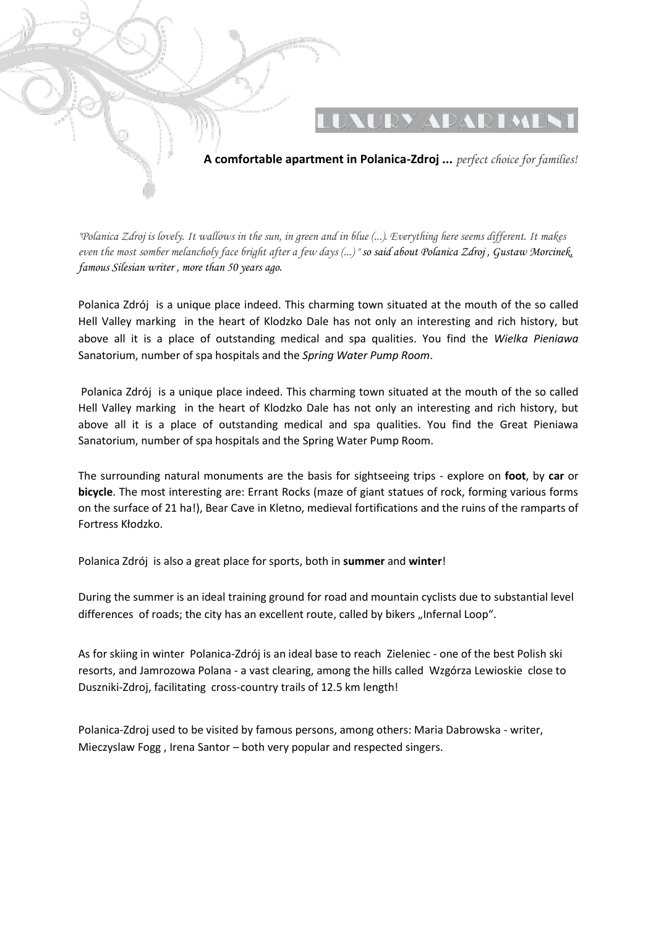

*"Polanica Zdroj is lovely. It wallows in the sun, in green and in blue (...). Everything here seems different. It makes even the most somber melancholy face bright after a few days (...) " so said about Polanica Zdroj , Gustaw Morcinek, famous Silesian writer , more than 50 years ago.*

Polanica Zdrój is a unique place indeed. This charming town situated at the mouth of the so called Hell Valley marking in the heart of Klodzko Dale has not only an interesting and rich history, but above all it is a place of outstanding medical and spa qualities. You find the *Wielka Pieniawa* Sanatorium, number of spa hospitals and the *Spring Water Pump Room*.

Polanica Zdrój is a unique place indeed. This charming town situated at the mouth of the so called Hell Valley marking in the heart of Klodzko Dale has not only an interesting and rich history, but above all it is a place of outstanding medical and spa qualities. You find the Great Pieniawa Sanatorium, number of spa hospitals and the Spring Water Pump Room.

The surrounding natural monuments are the basis for sightseeing trips - explore on **foot**, by **car** or **bicycle**. The most interesting are: Errant Rocks (maze of giant statues of rock, forming various forms on the surface of 21 ha!), Bear Cave in Kletno, medieval fortifications and the ruins of the ramparts of Fortress Kłodzko.

Polanica Zdrój is also a great place for sports, both in **summer** and **winter**!

During the summer is an ideal training ground for road and mountain cyclists due to substantial level differences of roads; the city has an excellent route, called by bikers "Infernal Loop".

As for skiing in winter Polanica-Zdrój is an ideal base to reach Zieleniec - one of the best Polish ski resorts, and Jamrozowa Polana - a vast clearing, among the hills called Wzgórza Lewioskie close to Duszniki-Zdroj, facilitating cross-country trails of 12.5 km length!

Polanica-Zdroj used to be visited by famous persons, among others: Maria Dabrowska - writer, Mieczyslaw Fogg , Irena Santor – both very popular and respected singers.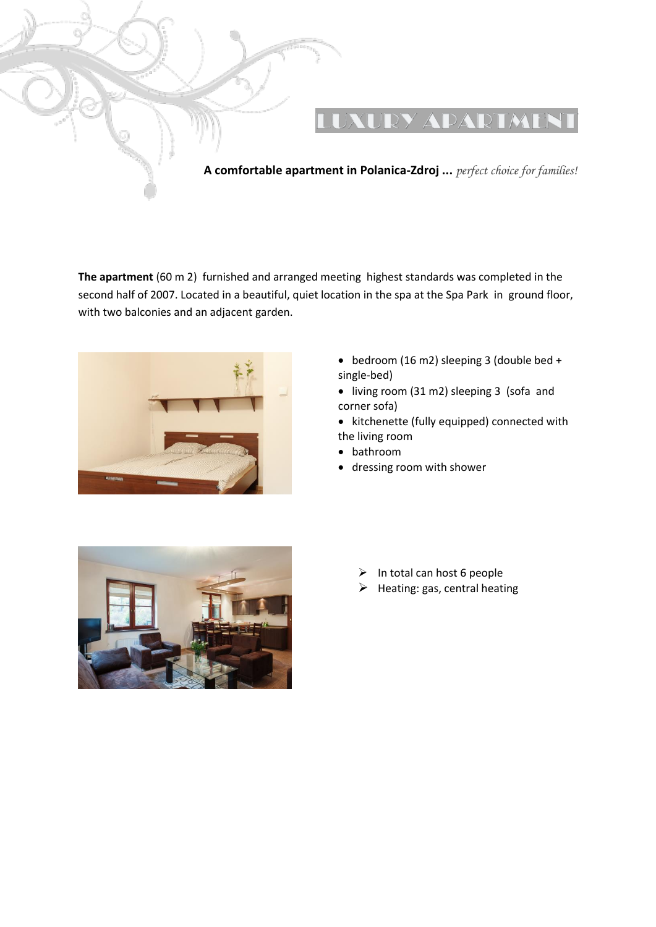

**The apartment** (60 m 2) furnished and arranged meeting highest standards was completed in the second half of 2007. Located in a beautiful, quiet location in the spa at the Spa Park in ground floor, with two balconies and an adjacent garden.



- bedroom (16 m2) sleeping 3 (double bed + single-bed)
- living room (31 m2) sleeping 3 (sofa and corner sofa)
- kitchenette (fully equipped) connected with the living room
- bathroom
- dressing room with shower



- $\triangleright$  In total can host 6 people
- $\triangleright$  Heating: gas, central heating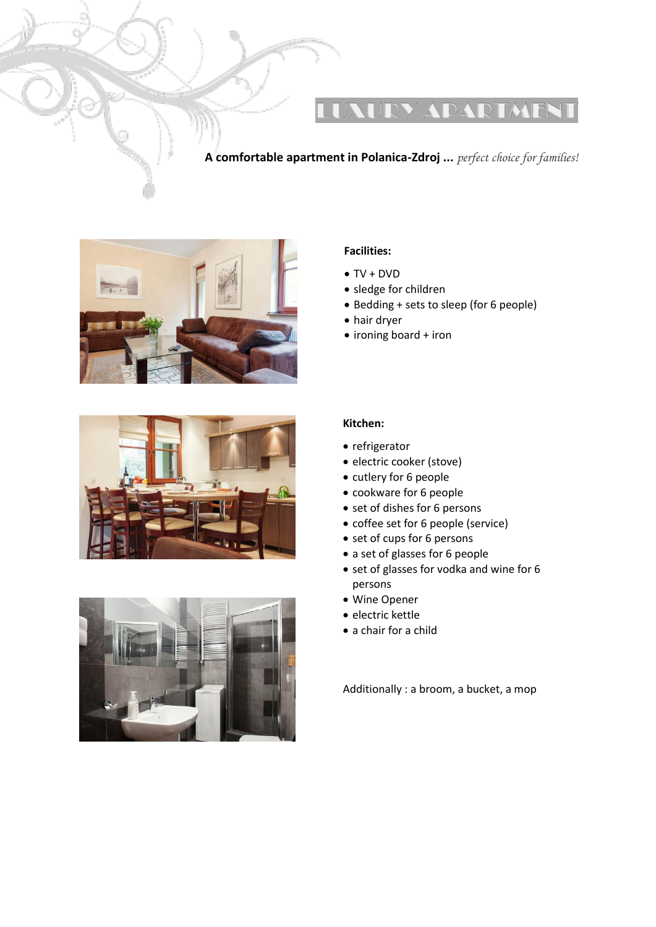## UXURY ADARTMEN

### **A comfortable apartment in Polanica-Zdroj ...** *perfect choice for families!*







#### **Facilities:**

- $\bullet$  TV + DVD
- sledge for children
- Bedding + sets to sleep (for 6 people)
- hair dryer
- ironing board + iron

#### **Kitchen:**

- refrigerator
- · electric cooker (stove)
- cutlery for 6 people
- cookware for 6 people
- set of dishes for 6 persons
- coffee set for 6 people (service)
- set of cups for 6 persons
- a set of glasses for 6 people
- set of glasses for vodka and wine for 6 persons
- Wine Opener
- **•** electric kettle
- a chair for a child

Additionally : a broom, a bucket, a mop